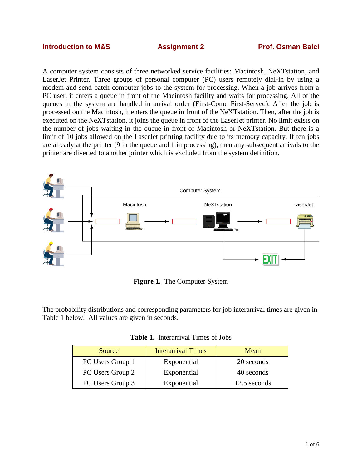#### **Introduction to M&S Assignment 2 Prof. Osman Balci**

A computer system consists of three networked service facilities: Macintosh, NeXTstation, and LaserJet Printer. Three groups of personal computer (PC) users remotely dial-in by using a modem and send batch computer jobs to the system for processing. When a job arrives from a PC user, it enters a queue in front of the Macintosh facility and waits for processing. All of the queues in the system are handled in arrival order (First-Come First-Served). After the job is processed on the Macintosh, it enters the queue in front of the NeXTstation. Then, after the job is executed on the NeXTstation, it joins the queue in front of the LaserJet printer. No limit exists on the number of jobs waiting in the queue in front of Macintosh or NeXTstation. But there is a limit of 10 jobs allowed on the LaserJet printing facility due to its memory capacity. If ten jobs are already at the printer (9 in the queue and 1 in processing), then any subsequent arrivals to the printer are diverted to another printer which is excluded from the system definition.



**Figure 1.** The Computer System

The probability distributions and corresponding parameters for job interarrival times are given in Table 1 below. All values are given in seconds.

| <b>Table 1.</b> Interarrival Times of Jobs |  |
|--------------------------------------------|--|
|--------------------------------------------|--|

| Source           | <b>Interarrival Times</b><br>Mean |              |
|------------------|-----------------------------------|--------------|
| PC Users Group 1 | Exponential                       | 20 seconds   |
| PC Users Group 2 | Exponential                       | 40 seconds   |
| PC Users Group 3 | Exponential                       | 12.5 seconds |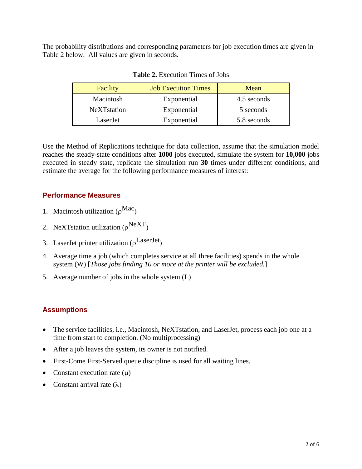The probability distributions and corresponding parameters for job execution times are given in Table 2 below. All values are given in seconds.

| Facility            | <b>Job Execution Times</b> | Mean        |
|---------------------|----------------------------|-------------|
| Macintosh           | Exponential                | 4.5 seconds |
| <b>NeXT</b> station | Exponential                | 5 seconds   |
| LaserJet            | Exponential                | 5.8 seconds |

**Table 2.** Execution Times of Jobs

Use the Method of Replications technique for data collection, assume that the simulation model reaches the steady-state conditions after **1000** jobs executed, simulate the system for **10,000** jobs executed in steady state, replicate the simulation run **30** times under different conditions, and estimate the average for the following performance measures of interest:

# **Performance Measures**

- 1. Macintosh utilization  $(\rho^{Mac})$
- 2. NeXTstation utilization ( $\rho^{\text{NeXT}}$ )
- 3. LaserJet printer utilization ( $\rho^{\text{LaserJet}}$ )
- 4. Average time a job (which completes service at all three facilities) spends in the whole system (W) [*Those jobs finding 10 or more at the printer will be excluded.*]
- 5. Average number of jobs in the whole system (L)

# **Assumptions**

- The service facilities, i.e., Macintosh, NeXTstation, and LaserJet, process each job one at a time from start to completion. (No multiprocessing)
- After a job leaves the system, its owner is not notified.
- First-Come First-Served queue discipline is used for all waiting lines.
- Constant execution rate  $(\mu)$
- Constant arrival rate  $(\lambda)$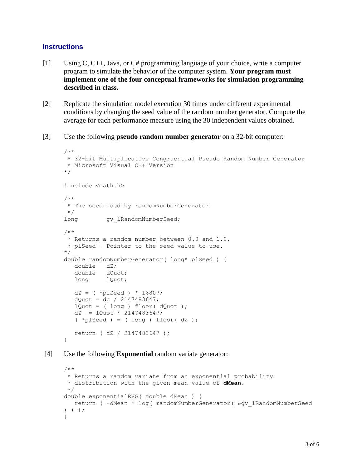#### **Instructions**

- [1] Using C, C++, Java, or C# programming language of your choice, write a computer program to simulate the behavior of the computer system. **Your program must implement one of the four conceptual frameworks for simulation programming described in class.**
- [2] Replicate the simulation model execution 30 times under different experimental conditions by changing the seed value of the random number generator. Compute the average for each performance measure using the 30 independent values obtained.
- [3] Use the following **pseudo random number generator** on a 32-bit computer:

```
/**
* 32-bit Multiplicative Congruential Pseudo Random Number Generator
* Microsoft Visual C++ Version
*/
#include <math.h>
/**
* The seed used by randomNumberGenerator.
*/
long gv_lRandomNumberSeed;
/**
 * Returns a random number between 0.0 and 1.0.
 * plSeed - Pointer to the seed value to use.
*/
double randomNumberGenerator( long* plSeed ) {
   double dZ;
   double dQuot;
   long lQuot;
  dZ = ( *plSeed ) * 16807;
  dQuot = dz / 2147483647;lQuot = ( long ) floor ( dQuot ); dZ -= lQuot * 2147483647;
   (\starplSeed ) = ( long ) floor( dZ );
   return ( dZ / 2147483647 );
}
```
[4] Use the following **Exponential** random variate generator:

```
/**
* Returns a random variate from an exponential probability
* distribution with the given mean value of dMean.
*/
double exponentialRVG( double dMean ) {
   return ( -dMean * log( randomNumberGenerator( &gv_lRandomNumberSeed 
) ) );
}
```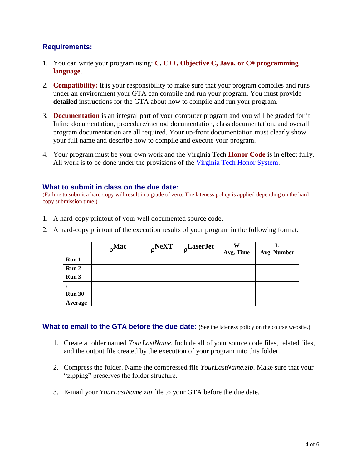#### **Requirements:**

- 1. You can write your program using: **C, C++, Objective C, Java, or C# programming language**.
- 2. **Compatibility:** It is your responsibility to make sure that your program compiles and runs under an environment your GTA can compile and run your program. You must provide **detailed** instructions for the GTA about how to compile and run your program.
- 3. **Documentation** is an integral part of your computer program and you will be graded for it. Inline documentation, procedure/method documentation, class documentation, and overall program documentation are all required. Your up-front documentation must clearly show your full name and describe how to compile and execute your program.
- 4. Your program must be your own work and the Virginia Tech **Honor Code** is in effect fully. All work is to be done under the provisions of the [Virginia Tech Honor System.](http://www.honorsystem.vt.edu/)

#### **What to submit in class on the due date:**

(Failure to submit a hard copy will result in a grade of zero. The lateness policy is applied depending on the hard copy submission time.)

- 1. A hard-copy printout of your well documented source code.
- 2. A hard-copy printout of the execution results of your program in the following format:

|               | $\rho^{\text{Mac}}$ | $\rho$ NeXT | $\rho$ LaserJet | W<br>Avg. Time | Avg. Number |
|---------------|---------------------|-------------|-----------------|----------------|-------------|
| Run 1         |                     |             |                 |                |             |
| Run 2         |                     |             |                 |                |             |
| Run 3         |                     |             |                 |                |             |
|               |                     |             |                 |                |             |
| <b>Run 30</b> |                     |             |                 |                |             |
| Average       |                     |             |                 |                |             |

**What to email to the GTA before the due date:** (See the lateness policy on the course website.)

- 1. Create a folder named *YourLastName.* Include all of your source code files, related files, and the output file created by the execution of your program into this folder.
- 2. Compress the folder. Name the compressed file *YourLastName.zip*. Make sure that your "zipping" preserves the folder structure.
- 3. E-mail your *YourLastName.zip* file to your GTA before the due date.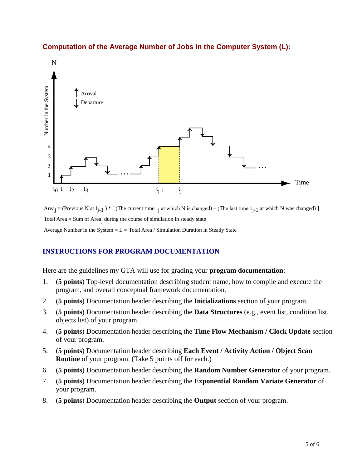

### **Computation of the Average Number of Jobs in the Computer System (L):**

Area<sub>j</sub> = (Previous N at  $t_{j-1}$ ) \* [ (The current time  $t_j$  at which N is changed) – (The last time  $t_{j-1}$  at which N was changed) ] Total Area = Sum of Area<sub>i</sub> during the course of simulation in steady state Average Number in the System  $=L = Total Area / Simulation$  Duration in Steady State

### **INSTRUCTIONS FOR PROGRAM DOCUMENTATION**

Here are the guidelines my GTA will use for grading your **program documentation**:

- 1. (**5 points**) Top-level documentation describing student name, how to compile and execute the program, and overall conceptual framework documentation.
- 2. (**5 points**) Documentation header describing the **Initializations** section of your program.
- 3. (**5 points**) Documentation header describing the **Data Structures** (e.g., event list, condition list, objects list) of your program.
- 4. (**5 points**) Documentation header describing the **Time Flow Mechanism / Clock Update** section of your program.
- 5. (**5 points**) Documentation header describing **Each Event / Activity Action / Object Scan Routine** of your program. (Take 5 points off for each.)
- 6. (**5 points**) Documentation header describing the **Random Number Generator** of your program.
- 7. (**5 points**) Documentation header describing the **Exponential Random Variate Generator** of your program.
- 8. (**5 points**) Documentation header describing the **Output** section of your program.